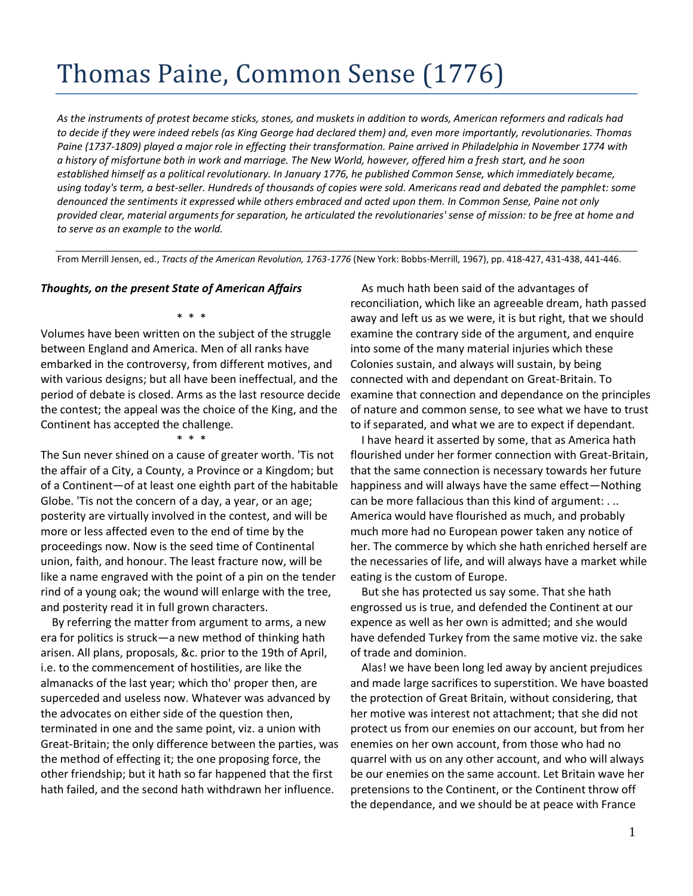## Thomas Paine, Common Sense (1776)

*As the instruments of protest became sticks, stones, and muskets in addition to words, American reformers and radicals had to decide if they were indeed rebels (as King George had declared them) and, even more importantly, revolutionaries. Thomas Paine (1737-1809) played a major role in effecting their transformation. Paine arrived in Philadelphia in November 1774 with a history of misfortune both in work and marriage. The New World, however, offered him a fresh start, and he soon established himself as a political revolutionary. In January 1776, he published Common Sense, which immediately became, using today's term, a best-seller. Hundreds of thousands of copies were sold. Americans read and debated the pamphlet: some denounced the sentiments it expressed while others embraced and acted upon them. In Common Sense, Paine not only provided clear, material arguments for separation, he articulated the revolutionaries' sense of mission: to be free at home and to serve as an example to the world.*

From Merrill Jensen, ed., *Tracts of the American Revolution, 1763-1776* (New York: Bobbs-Merrill, 1967), pp. 418-427, 431-438, 441-446.

## *Thoughts, on the present State of American Affairs*

\* \* \*

Volumes have been written on the subject of the struggle between England and America. Men of all ranks have embarked in the controversy, from different motives, and with various designs; but all have been ineffectual, and the period of debate is closed. Arms as the last resource decide the contest; the appeal was the choice of the King, and the Continent has accepted the challenge.

\* \* \*

The Sun never shined on a cause of greater worth. 'Tis not the affair of a City, a County, a Province or a Kingdom; but of a Continent—of at least one eighth part of the habitable Globe. 'Tis not the concern of a day, a year, or an age; posterity are virtually involved in the contest, and will be more or less affected even to the end of time by the proceedings now. Now is the seed time of Continental union, faith, and honour. The least fracture now, will be like a name engraved with the point of a pin on the tender rind of a young oak; the wound will enlarge with the tree, and posterity read it in full grown characters.

 By referring the matter from argument to arms, a new era for politics is struck—a new method of thinking hath arisen. All plans, proposals, &c. prior to the 19th of April, i.e. to the commencement of hostilities, are like the almanacks of the last year; which tho' proper then, are superceded and useless now. Whatever was advanced by the advocates on either side of the question then, terminated in one and the same point, viz. a union with Great-Britain; the only difference between the parties, was the method of effecting it; the one proposing force, the other friendship; but it hath so far happened that the first hath failed, and the second hath withdrawn her influence.

 As much hath been said of the advantages of reconciliation, which like an agreeable dream, hath passed away and left us as we were, it is but right, that we should examine the contrary side of the argument, and enquire into some of the many material injuries which these Colonies sustain, and always will sustain, by being connected with and dependant on Great-Britain. To examine that connection and dependance on the principles of nature and common sense, to see what we have to trust to if separated, and what we are to expect if dependant.

 I have heard it asserted by some, that as America hath flourished under her former connection with Great-Britain, that the same connection is necessary towards her future happiness and will always have the same effect—Nothing can be more fallacious than this kind of argument: . .. America would have flourished as much, and probably much more had no European power taken any notice of her. The commerce by which she hath enriched herself are the necessaries of life, and will always have a market while eating is the custom of Europe.

 But she has protected us say some. That she hath engrossed us is true, and defended the Continent at our expence as well as her own is admitted; and she would have defended Turkey from the same motive viz. the sake of trade and dominion.

 Alas! we have been long led away by ancient prejudices and made large sacrifices to superstition. We have boasted the protection of Great Britain, without considering, that her motive was interest not attachment; that she did not protect us from our enemies on our account, but from her enemies on her own account, from those who had no quarrel with us on any other account, and who will always be our enemies on the same account. Let Britain wave her pretensions to the Continent, or the Continent throw off the dependance, and we should be at peace with France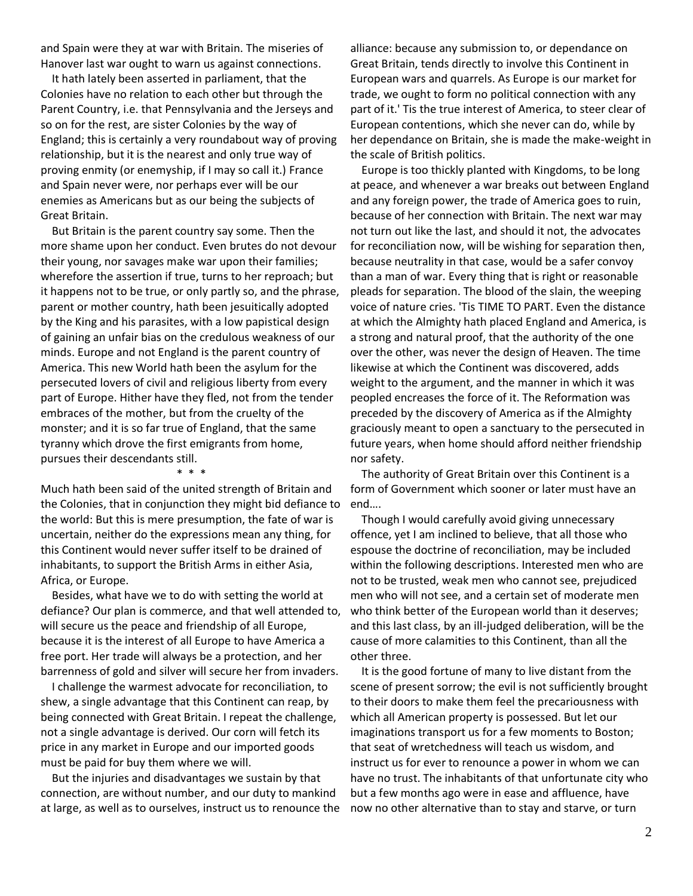and Spain were they at war with Britain. The miseries of Hanover last war ought to warn us against connections.

 It hath lately been asserted in parliament, that the Colonies have no relation to each other but through the Parent Country, i.e. that Pennsylvania and the Jerseys and so on for the rest, are sister Colonies by the way of England; this is certainly a very roundabout way of proving relationship, but it is the nearest and only true way of proving enmity (or enemyship, if I may so call it.) France and Spain never were, nor perhaps ever will be our enemies as Americans but as our being the subjects of Great Britain.

 But Britain is the parent country say some. Then the more shame upon her conduct. Even brutes do not devour their young, nor savages make war upon their families; wherefore the assertion if true, turns to her reproach; but it happens not to be true, or only partly so, and the phrase, parent or mother country, hath been jesuitically adopted by the King and his parasites, with a low papistical design of gaining an unfair bias on the credulous weakness of our minds. Europe and not England is the parent country of America. This new World hath been the asylum for the persecuted lovers of civil and religious liberty from every part of Europe. Hither have they fled, not from the tender embraces of the mother, but from the cruelty of the monster; and it is so far true of England, that the same tyranny which drove the first emigrants from home, pursues their descendants still.

\* \* \*

Much hath been said of the united strength of Britain and the Colonies, that in conjunction they might bid defiance to the world: But this is mere presumption, the fate of war is uncertain, neither do the expressions mean any thing, for this Continent would never suffer itself to be drained of inhabitants, to support the British Arms in either Asia, Africa, or Europe.

 Besides, what have we to do with setting the world at defiance? Our plan is commerce, and that well attended to, will secure us the peace and friendship of all Europe, because it is the interest of all Europe to have America a free port. Her trade will always be a protection, and her barrenness of gold and silver will secure her from invaders.

 I challenge the warmest advocate for reconciliation, to shew, a single advantage that this Continent can reap, by being connected with Great Britain. I repeat the challenge, not a single advantage is derived. Our corn will fetch its price in any market in Europe and our imported goods must be paid for buy them where we will.

 But the injuries and disadvantages we sustain by that connection, are without number, and our duty to mankind at large, as well as to ourselves, instruct us to renounce the

alliance: because any submission to, or dependance on Great Britain, tends directly to involve this Continent in European wars and quarrels. As Europe is our market for trade, we ought to form no political connection with any part of it.' Tis the true interest of America, to steer clear of European contentions, which she never can do, while by her dependance on Britain, she is made the make-weight in the scale of British politics.

 Europe is too thickly planted with Kingdoms, to be long at peace, and whenever a war breaks out between England and any foreign power, the trade of America goes to ruin, because of her connection with Britain. The next war may not turn out like the last, and should it not, the advocates for reconciliation now, will be wishing for separation then, because neutrality in that case, would be a safer convoy than a man of war. Every thing that is right or reasonable pleads for separation. The blood of the slain, the weeping voice of nature cries. 'Tis TIME TO PART. Even the distance at which the Almighty hath placed England and America, is a strong and natural proof, that the authority of the one over the other, was never the design of Heaven. The time likewise at which the Continent was discovered, adds weight to the argument, and the manner in which it was peopled encreases the force of it. The Reformation was preceded by the discovery of America as if the Almighty graciously meant to open a sanctuary to the persecuted in future years, when home should afford neither friendship nor safety.

 The authority of Great Britain over this Continent is a form of Government which sooner or later must have an end….

 Though I would carefully avoid giving unnecessary offence, yet I am inclined to believe, that all those who espouse the doctrine of reconciliation, may be included within the following descriptions. Interested men who are not to be trusted, weak men who cannot see, prejudiced men who will not see, and a certain set of moderate men who think better of the European world than it deserves; and this last class, by an ill-judged deliberation, will be the cause of more calamities to this Continent, than all the other three.

 It is the good fortune of many to live distant from the scene of present sorrow; the evil is not sufficiently brought to their doors to make them feel the precariousness with which all American property is possessed. But let our imaginations transport us for a few moments to Boston; that seat of wretchedness will teach us wisdom, and instruct us for ever to renounce a power in whom we can have no trust. The inhabitants of that unfortunate city who but a few months ago were in ease and affluence, have now no other alternative than to stay and starve, or turn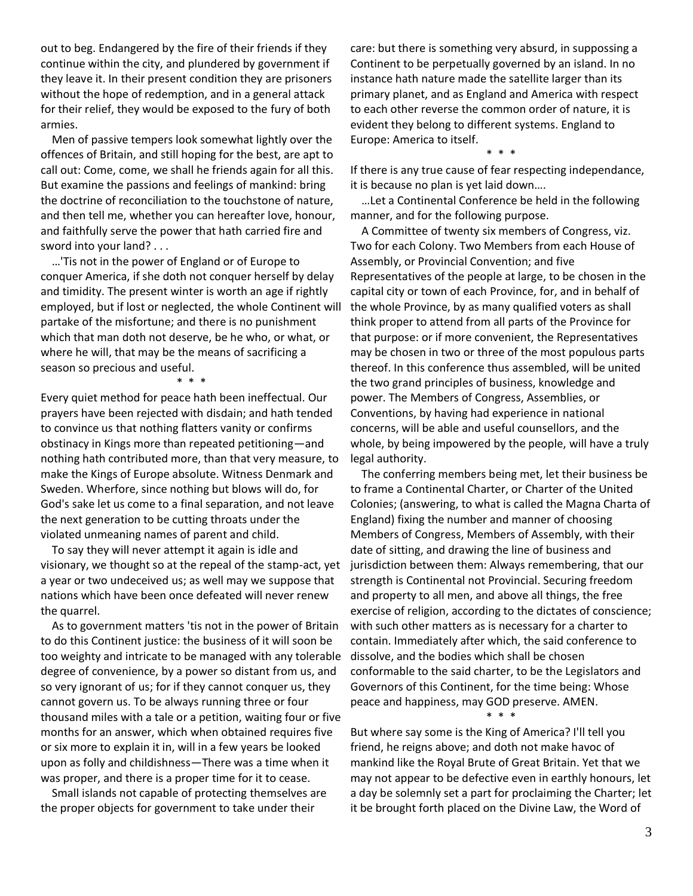out to beg. Endangered by the fire of their friends if they continue within the city, and plundered by government if they leave it. In their present condition they are prisoners without the hope of redemption, and in a general attack for their relief, they would be exposed to the fury of both armies.

 Men of passive tempers look somewhat lightly over the offences of Britain, and still hoping for the best, are apt to call out: Come, come, we shall he friends again for all this. But examine the passions and feelings of mankind: bring the doctrine of reconciliation to the touchstone of nature, and then tell me, whether you can hereafter love, honour, and faithfully serve the power that hath carried fire and sword into your land? . . .

 …'Tis not in the power of England or of Europe to conquer America, if she doth not conquer herself by delay and timidity. The present winter is worth an age if rightly employed, but if lost or neglected, the whole Continent will partake of the misfortune; and there is no punishment which that man doth not deserve, be he who, or what, or where he will, that may be the means of sacrificing a season so precious and useful.

\* \* \*

Every quiet method for peace hath been ineffectual. Our prayers have been rejected with disdain; and hath tended to convince us that nothing flatters vanity or confirms obstinacy in Kings more than repeated petitioning—and nothing hath contributed more, than that very measure, to make the Kings of Europe absolute. Witness Denmark and Sweden. Wherfore, since nothing but blows will do, for God's sake let us come to a final separation, and not leave the next generation to be cutting throats under the violated unmeaning names of parent and child.

 To say they will never attempt it again is idle and visionary, we thought so at the repeal of the stamp-act, yet a year or two undeceived us; as well may we suppose that nations which have been once defeated will never renew the quarrel.

 As to government matters 'tis not in the power of Britain to do this Continent justice: the business of it will soon be too weighty and intricate to be managed with any tolerable degree of convenience, by a power so distant from us, and so very ignorant of us; for if they cannot conquer us, they cannot govern us. To be always running three or four thousand miles with a tale or a petition, waiting four or five months for an answer, which when obtained requires five or six more to explain it in, will in a few years be looked upon as folly and childishness—There was a time when it was proper, and there is a proper time for it to cease.

 Small islands not capable of protecting themselves are the proper objects for government to take under their

care: but there is something very absurd, in suppossing a Continent to be perpetually governed by an island. In no instance hath nature made the satellite larger than its primary planet, and as England and America with respect to each other reverse the common order of nature, it is evident they belong to different systems. England to Europe: America to itself.

\* \* \*

If there is any true cause of fear respecting independance, it is because no plan is yet laid down….

 …Let a Continental Conference be held in the following manner, and for the following purpose.

 A Committee of twenty six members of Congress, viz. Two for each Colony. Two Members from each House of Assembly, or Provincial Convention; and five Representatives of the people at large, to be chosen in the capital city or town of each Province, for, and in behalf of the whole Province, by as many qualified voters as shall think proper to attend from all parts of the Province for that purpose: or if more convenient, the Representatives may be chosen in two or three of the most populous parts thereof. In this conference thus assembled, will be united the two grand principles of business, knowledge and power. The Members of Congress, Assemblies, or Conventions, by having had experience in national concerns, will be able and useful counsellors, and the whole, by being impowered by the people, will have a truly legal authority.

 The conferring members being met, let their business be to frame a Continental Charter, or Charter of the United Colonies; (answering, to what is called the Magna Charta of England) fixing the number and manner of choosing Members of Congress, Members of Assembly, with their date of sitting, and drawing the line of business and jurisdiction between them: Always remembering, that our strength is Continental not Provincial. Securing freedom and property to all men, and above all things, the free exercise of religion, according to the dictates of conscience; with such other matters as is necessary for a charter to contain. Immediately after which, the said conference to dissolve, and the bodies which shall be chosen conformable to the said charter, to be the Legislators and Governors of this Continent, for the time being: Whose peace and happiness, may GOD preserve. AMEN.

\* \* \*

But where say some is the King of America? I'll tell you friend, he reigns above; and doth not make havoc of mankind like the Royal Brute of Great Britain. Yet that we may not appear to be defective even in earthly honours, let a day be solemnly set a part for proclaiming the Charter; let it be brought forth placed on the Divine Law, the Word of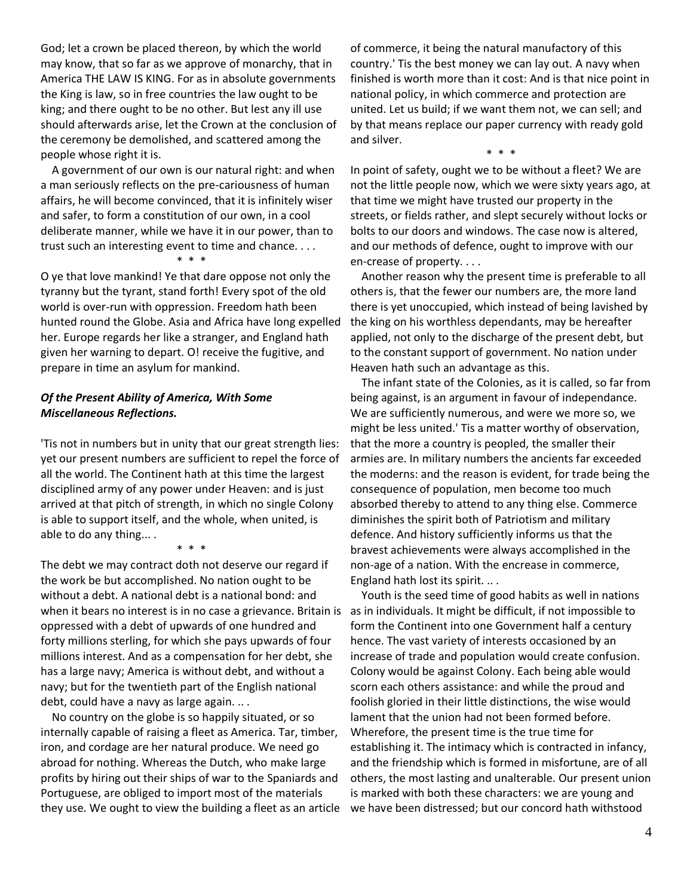God; let a crown be placed thereon, by which the world may know, that so far as we approve of monarchy, that in America THE LAW IS KING. For as in absolute governments the King is law, so in free countries the law ought to be king; and there ought to be no other. But lest any ill use should afterwards arise, let the Crown at the conclusion of the ceremony be demolished, and scattered among the people whose right it is.

 A government of our own is our natural right: and when a man seriously reflects on the pre-cariousness of human affairs, he will become convinced, that it is infinitely wiser and safer, to form a constitution of our own, in a cool deliberate manner, while we have it in our power, than to trust such an interesting event to time and chance. . . . \* \* \*

O ye that love mankind! Ye that dare oppose not only the tyranny but the tyrant, stand forth! Every spot of the old world is over-run with oppression. Freedom hath been hunted round the Globe. Asia and Africa have long expelled her. Europe regards her like a stranger, and England hath given her warning to depart. O! receive the fugitive, and prepare in time an asylum for mankind.

## *Of the Present Ability of America, With Some Miscellaneous Reflections.*

'Tis not in numbers but in unity that our great strength lies: yet our present numbers are sufficient to repel the force of all the world. The Continent hath at this time the largest disciplined army of any power under Heaven: and is just arrived at that pitch of strength, in which no single Colony is able to support itself, and the whole, when united, is able to do any thing... .

\* \* \*

The debt we may contract doth not deserve our regard if the work be but accomplished. No nation ought to be without a debt. A national debt is a national bond: and when it bears no interest is in no case a grievance. Britain is as in individuals. It might be difficult, if not impossible to oppressed with a debt of upwards of one hundred and forty millions sterling, for which she pays upwards of four millions interest. And as a compensation for her debt, she has a large navy; America is without debt, and without a navy; but for the twentieth part of the English national debt, could have a navy as large again. .. .

 No country on the globe is so happily situated, or so internally capable of raising a fleet as America. Tar, timber, iron, and cordage are her natural produce. We need go abroad for nothing. Whereas the Dutch, who make large profits by hiring out their ships of war to the Spaniards and Portuguese, are obliged to import most of the materials they use. We ought to view the building a fleet as an article

of commerce, it being the natural manufactory of this country.' Tis the best money we can lay out. A navy when finished is worth more than it cost: And is that nice point in national policy, in which commerce and protection are united. Let us build; if we want them not, we can sell; and by that means replace our paper currency with ready gold and silver.

\* \* \*

In point of safety, ought we to be without a fleet? We are not the little people now, which we were sixty years ago, at that time we might have trusted our property in the streets, or fields rather, and slept securely without locks or bolts to our doors and windows. The case now is altered, and our methods of defence, ought to improve with our en-crease of property. . . .

 Another reason why the present time is preferable to all others is, that the fewer our numbers are, the more land there is yet unoccupied, which instead of being lavished by the king on his worthless dependants, may be hereafter applied, not only to the discharge of the present debt, but to the constant support of government. No nation under Heaven hath such an advantage as this.

 The infant state of the Colonies, as it is called, so far from being against, is an argument in favour of independance. We are sufficiently numerous, and were we more so, we might be less united.' Tis a matter worthy of observation, that the more a country is peopled, the smaller their armies are. In military numbers the ancients far exceeded the moderns: and the reason is evident, for trade being the consequence of population, men become too much absorbed thereby to attend to any thing else. Commerce diminishes the spirit both of Patriotism and military defence. And history sufficiently informs us that the bravest achievements were always accomplished in the non-age of a nation. With the encrease in commerce, England hath lost its spirit. .. .

 Youth is the seed time of good habits as well in nations form the Continent into one Government half a century hence. The vast variety of interests occasioned by an increase of trade and population would create confusion. Colony would be against Colony. Each being able would scorn each others assistance: and while the proud and foolish gloried in their little distinctions, the wise would lament that the union had not been formed before. Wherefore, the present time is the true time for establishing it. The intimacy which is contracted in infancy, and the friendship which is formed in misfortune, are of all others, the most lasting and unalterable. Our present union is marked with both these characters: we are young and we have been distressed; but our concord hath withstood